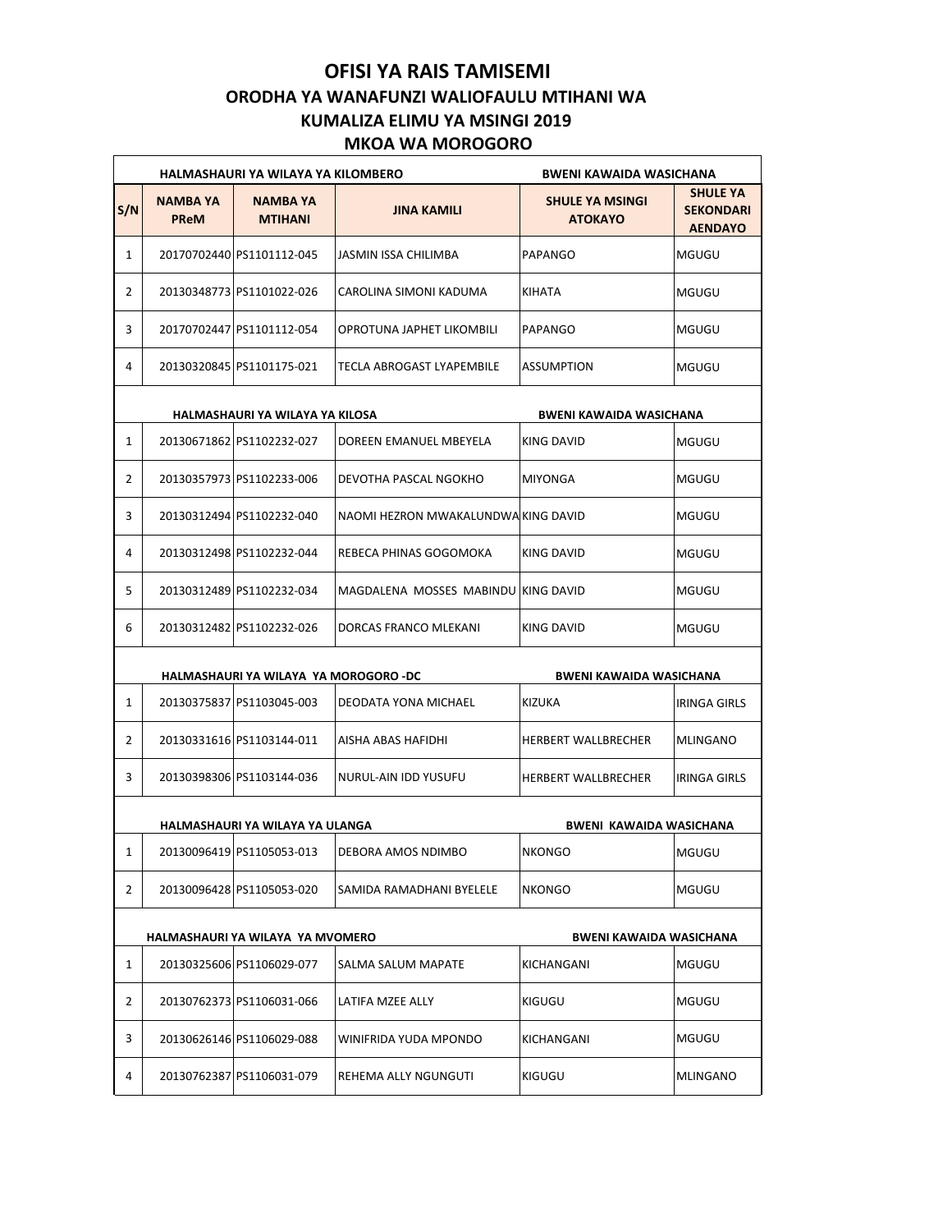## **OFISI YA RAIS TAMISEMI ORODHA YA WANAFUNZI WALIOFAULU MTIHANI WA KUMALIZA ELIMU YA MSINGI 2019 MKOA WA MOROGORO**

|     |                                                                         | HALMASHAURI YA WILAYA YA KILOMBERO | <b>BWENI KAWAIDA WASICHANA</b>      |                                          |                                                       |  |  |  |  |
|-----|-------------------------------------------------------------------------|------------------------------------|-------------------------------------|------------------------------------------|-------------------------------------------------------|--|--|--|--|
| S/N | <b>NAMBA YA</b><br><b>PReM</b>                                          | <b>NAMBA YA</b><br><b>MTIHANI</b>  | <b>JINA KAMILI</b>                  | <b>SHULE YA MSINGI</b><br><b>ATOKAYO</b> | <b>SHULE YA</b><br><b>SEKONDARI</b><br><b>AENDAYO</b> |  |  |  |  |
| 1   |                                                                         | 20170702440 PS1101112-045          | JASMIN ISSA CHILIMBA                | PAPANGO                                  | MGUGU                                                 |  |  |  |  |
| 2   |                                                                         | 20130348773 PS1101022-026          | CAROLINA SIMONI KADUMA              | KIHATA                                   | MGUGU                                                 |  |  |  |  |
| 3   |                                                                         | 20170702447 PS1101112-054          | OPROTUNA JAPHET LIKOMBILI           | PAPANGO                                  | MGUGU                                                 |  |  |  |  |
| 4   |                                                                         | 20130320845 PS1101175-021          | TECLA ABROGAST LYAPEMBILE           | <b>ASSUMPTION</b>                        | MGUGU                                                 |  |  |  |  |
|     | HALMASHAURI YA WILAYA YA KILOSA<br><b>BWENI KAWAIDA WASICHANA</b>       |                                    |                                     |                                          |                                                       |  |  |  |  |
| 1   |                                                                         | 20130671862 PS1102232-027          | DOREEN EMANUEL MBEYELA              | KING DAVID                               | MGUGU                                                 |  |  |  |  |
| 2   |                                                                         | 20130357973 PS1102233-006          | DEVOTHA PASCAL NGOKHO               | MIYONGA                                  | MGUGU                                                 |  |  |  |  |
| 3   |                                                                         | 20130312494 PS1102232-040          | NAOMI HEZRON MWAKALUNDWA KING DAVID |                                          | MGUGU                                                 |  |  |  |  |
| 4   |                                                                         | 20130312498 PS1102232-044          | REBECA PHINAS GOGOMOKA              | KING DAVID                               | MGUGU                                                 |  |  |  |  |
| 5   |                                                                         | 20130312489 PS1102232-034          | MAGDALENA MOSSES MABINDU KING DAVID |                                          | MGUGU                                                 |  |  |  |  |
| 6   |                                                                         | 20130312482 PS1102232-026          | DORCAS FRANCO MLEKANI               | KING DAVID                               | MGUGU                                                 |  |  |  |  |
|     | HALMASHAURI YA WILAYA YA MOROGORO -DC<br><b>BWENI KAWAIDA WASICHANA</b> |                                    |                                     |                                          |                                                       |  |  |  |  |
| 1   |                                                                         | 20130375837 PS1103045-003          | DEODATA YONA MICHAEL                | KIZUKA                                   | <b>IRINGA GIRLS</b>                                   |  |  |  |  |
| 2   |                                                                         | 20130331616 PS1103144-011          | AISHA ABAS HAFIDHI                  | HERBERT WALLBRECHER                      | <b>MLINGANO</b>                                       |  |  |  |  |
| 3   |                                                                         | 20130398306 PS1103144-036          | NURUL-AIN IDD YUSUFU                | <b>HERBERT WALLBRECHER</b>               | <b>IRINGA GIRLS</b>                                   |  |  |  |  |
|     | HALMASHAURI YA WILAYA YA ULANGA<br>BWENI KAWAIDA WASICHANA              |                                    |                                     |                                          |                                                       |  |  |  |  |
| 1   |                                                                         | 20130096419 PS1105053-013          | DEBORA AMOS NDIMBO                  | <b>NKONGO</b>                            | <b>MGUGU</b>                                          |  |  |  |  |
| 2   |                                                                         | 20130096428 PS1105053-020          | SAMIDA RAMADHANI BYELELE            | <b>NKONGO</b>                            | MGUGU                                                 |  |  |  |  |
|     | HALMASHAURI YA WILAYA YA MVOMERO<br>BWENI KAWAIDA WASICHANA             |                                    |                                     |                                          |                                                       |  |  |  |  |
| 1   |                                                                         | 20130325606 PS1106029-077          | SALMA SALUM MAPATE                  | KICHANGANI                               | MGUGU                                                 |  |  |  |  |
| 2   |                                                                         | 20130762373 PS1106031-066          | LATIFA MZEE ALLY                    | KIGUGU                                   | MGUGU                                                 |  |  |  |  |
| 3   |                                                                         | 20130626146 PS1106029-088          | WINIFRIDA YUDA MPONDO               | KICHANGANI                               | MGUGU                                                 |  |  |  |  |
| 4   |                                                                         | 20130762387 PS1106031-079          | REHEMA ALLY NGUNGUTI                | KIGUGU                                   | MLINGANO                                              |  |  |  |  |